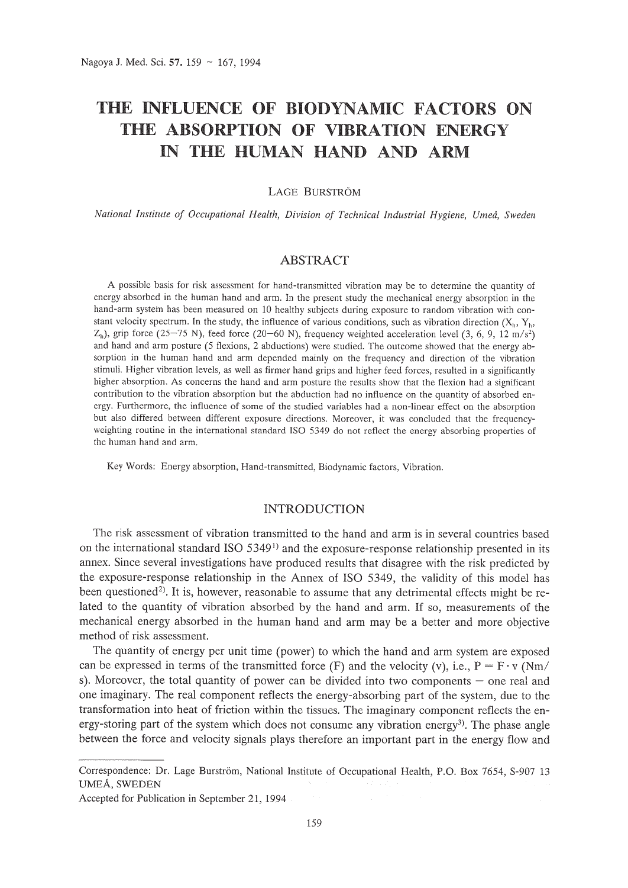# **THE INFLUENCE OF BIODYNAMIC FACTORS ON THE ABSORPTION OF VIBRATION ENERGY IN THE HUMAN HAND AND ARM**

LAGE BURSTRÖM

*National Institute of Occupational Health, Division of Technical Industrial Hygiene, Umeti, Sweden*

# *ABSTRACT*

A possible basis for risk assessment for hand-transmitted vibration may be to determine the quantity of energy absorbed in the human hand and arm. In the present study the mechanical energy absorption in the hand-arm system has been measured on 10 healthy subjects during exposure to random vibration with constant velocity spectrum. In the study, the influence of various conditions, such as vibration direction  $(X_h, Y_h, Y_h)$  $Z<sub>h</sub>$ ), grip force (25–75 N), feed force (20–60 N), frequency weighted acceleration level (3, 6, 9, 12 *m/s<sup>2</sup>*) and hand and arm posture (5 flexions, 2 abductions) were studied. The outcome showed that the energy absorption in the human hand and arm depended mainly on the frequency and direction of the vibration stimuli. Higher vibration levels, as well as firmer hand grips and higher feed forces, resulted in a significantly higher absorption. As concerns the hand and arm posture the results show that the flexion had a significant contribution to the vibration absorption but the abduction had no influence on the quantity of absorbed energy. Furthermore, the influence of some of the studied variables had a non-linear effect on the absorption but also differed between different exposure directions. Moreover, it was concluded that the frequencyweighting routine in the international standard ISO 5349 do not reflect the energy absorbing properties of the human hand and arm.

Key Words: Energy absorption, Hand-transmitted, Biodynamic factors, Vibration.

# INTRODUCTION

The risk assessment of vibration transmitted to the hand and arm is in several countries based on the international standard ISO  $5349<sup>1</sup>$  and the exposure-response relationship presented in its annex. Since several investigations have produced results that disagree with the risk predicted by the exposure-response relationship in the Annex of ISO 5349, the validity of this model has been questioned<sup>2)</sup>. It is, however, reasonable to assume that any detrimental effects might be related to the quantity of vibration absorbed by the hand and arm. If so, measurements of the mechanical energy absorbed in the human hand and arm may be a better and more objective method of risk assessment.

The quantity of energy per unit time (power) to which the hand and arm system are exposed can be expressed in terms of the transmitted force (F) and the velocity (v), i.e.,  $P = F \cdot v$  (Nm/ s). Moreover, the total quantity of power can be divided into two components  $-$  one real and one imaginary. The real component reflects the energy-absorbing part of the system, due to the transformation into heat of friction within the tissues. The imaginary component reflects the energy-storing part of the system which does not consume any vibration energy<sup>3</sup>). The phase angle between the force and velocity signals plays therefore an important part in the energy flow and

Correspondence: Dr. Lage Burström, National Institute of Occupational Health, P.O. Box 7654, S-907 13 UMEA, SWEDEN

Accepted for Publication in September 21, 1994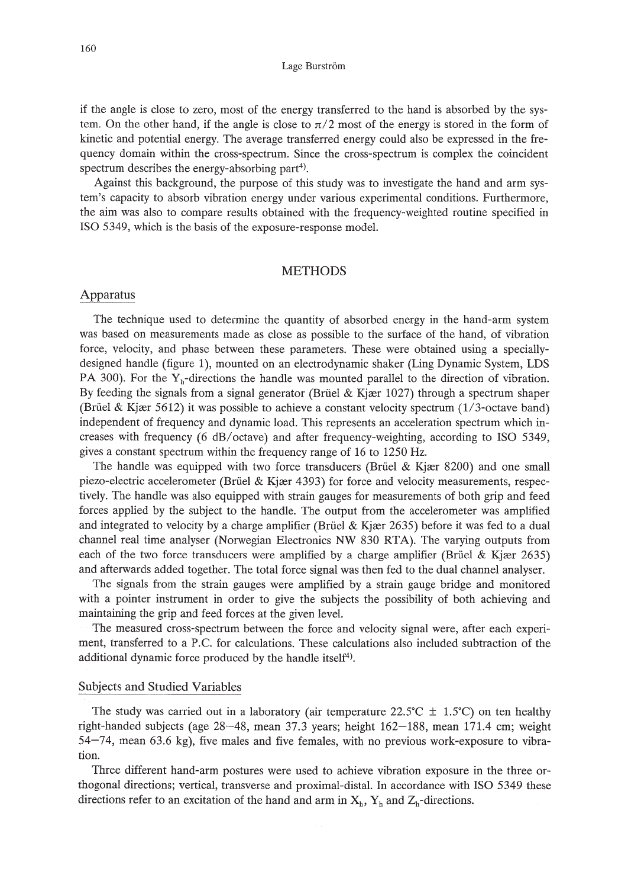if the angle is close to zero, most of the energy transferred to the hand is absorbed by the system. On the other hand, if the angle is close to  $\pi/2$  most of the energy is stored in the form of kinetic and potential energy. The average transferred energy could also be expressed in the frequency domain within the cross-spectrum. Since the cross-spectrum is complex the coincident spectrum describes the energy-absorbing part<sup>4)</sup>.

Against this background, the purpose of this study was to investigate the hand and arm system's capacity to absorb vibration energy under various experimental conditions. Furthermore, the aim was also to compare results obtained with the frequency-weighted routine specified in ISO 5349, which is the basis of the exposure-response model.

# **METHODS**

#### Apparatus

The technique used to determine the quantity of absorbed energy in the hand-arm system was based on measurements made as close as possible to the surface of the hand, of vibration force, velocity, and phase between these parameters. These were obtained using a speciallydesigned handle (figure 1), mounted on an electrodynamic shaker (Ling Dynamic System, LDS PA 300). For the  $Y_h$ -directions the handle was mounted parallel to the direction of vibration. By feeding the signals from a signal generator (Brüel & Kjær 1027) through a spectrum shaper (Brüel & Kjær 5612) it was possible to achieve a constant velocity spectrum  $(1/3$ -octave band) independent of frequency and dynamic load. This represents an acceleration spectrum which increases with frequency (6 dB/octave) and after frequency-weighting, according to ISO 5349, gives a constant spectrum within the frequency range of 16 to 1250 Hz.

The handle was equipped with two force transducers (Brüel & Kjær 8200) and one small piezo-electric accelerometer (Brüel & Kjær 4393) for force and velocity measurements, respectively. The handle was also equipped with strain gauges for measurements of both grip and feed forces applied by the subject to the handle. The output from the accelerometer was amplified and integrated to velocity by a charge amplifier (Brüel & Kjær 2635) before it was fed to a dual channel real time analyser (Norwegian Electronics NW 830 RTA). The varying outputs from each of the two force transducers were amplified by a charge amplifier (Brüel & Kjær 2635) and afterwards added together. The total force signal was then fed to the dual channel analyser.

The signals from the strain gauges were amplified by a strain gauge bridge and monitored with a pointer instrument in order to give the subjects the possibility of both achieving and maintaining the grip and feed forces at the given level.

The measured cross-spectrum between the force and velocity signal were, after each experiment, transferred to a P.c. for calculations. These calculations also included subtraction of the additional dynamic force produced by the handle itself<sup>4)</sup>.

## Subjects and Studied Variables

The study was carried out in a laboratory (air temperature 22.5°C  $\pm$  1.5°C) on ten healthy right-handed subjects (age 28-48, mean 37.3 years; height 162-188, mean 171.4 cm; weight 54-74, mean 63.6 kg), five males and five females, with no previous work-exposure to vibration.

Three different hand-arm postures were used to achieve vibration exposure in the three orthogonal directions; vertical, transverse and proximal-distal. In accordance with ISO 5349 these directions refer to an excitation of the hand and arm in  $X_h$ ,  $Y_h$  and  $Z_h$ -directions.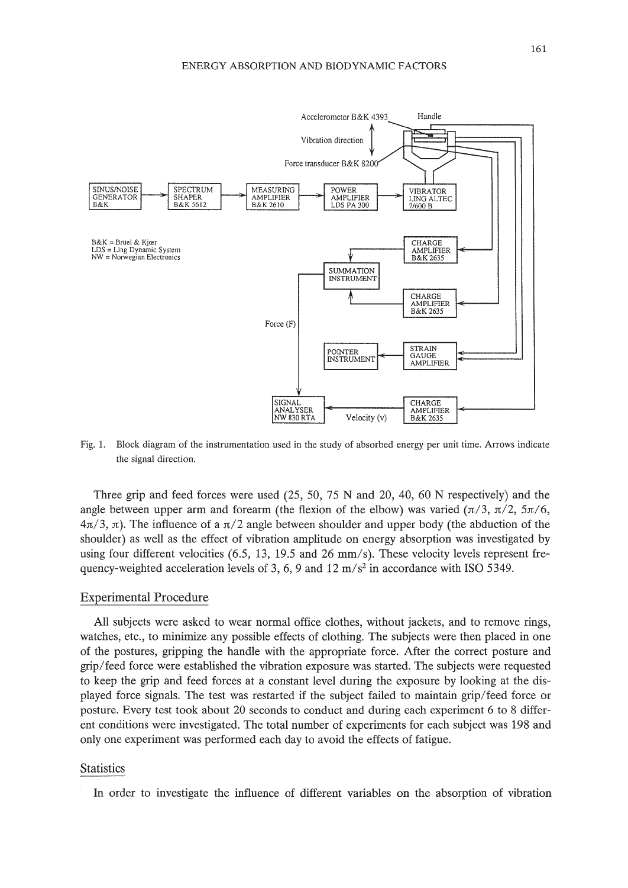

Fig. 1. Block diagram of the instrumentation used in the study of absorbed energy per unit time. Arrows indicate the signal direction.

Three grip and feed forces were used  $(25, 50, 75 \text{ N}$  and  $20, 40, 60 \text{ N}$  respectively) and the angle between upper arm and forearm (the flexion of the elbow) was varied  $(\pi/3, \pi/2, 5\pi/6,$  $4\pi/3$ ,  $\pi$ ). The influence of a  $\pi/2$  angle between shoulder and upper body (the abduction of the shoulder) as well as the effect of vibration amplitude on energy absorption was investigated by using four different velocities  $(6.5, 13, 19.5, \text{ and } 26 \text{ mm/s})$ . These velocity levels represent frequency-weighted acceleration levels of 3, 6, 9 and 12  $\text{m/s}^2$  in accordance with ISO 5349.

#### Experimental Procedure

All subjects were asked to wear normal office clothes, without jackets, and to remove rings, watches, etc., to minimize any possible effects of clothing. The subjects were then placed in one of the postures, gripping the handle with the appropriate force. After the correct posture and grip/feed force were established the vibration exposure was started. The subjects were requested to keep the grip and feed forces at a constant level during the exposure by looking at the displayed force signals. The test was restarted if the subject failed to maintain grip/feed force or posture. Every test took about 20 seconds to conduct and during each experiment 6 to 8 different conditions were investigated. The total number of experiments for each subject was 198 and only one experiment was performed each day to avoid the effects of fatigue.

# **Statistics**

In order to investigate the influence of different variables on the absorption of vibration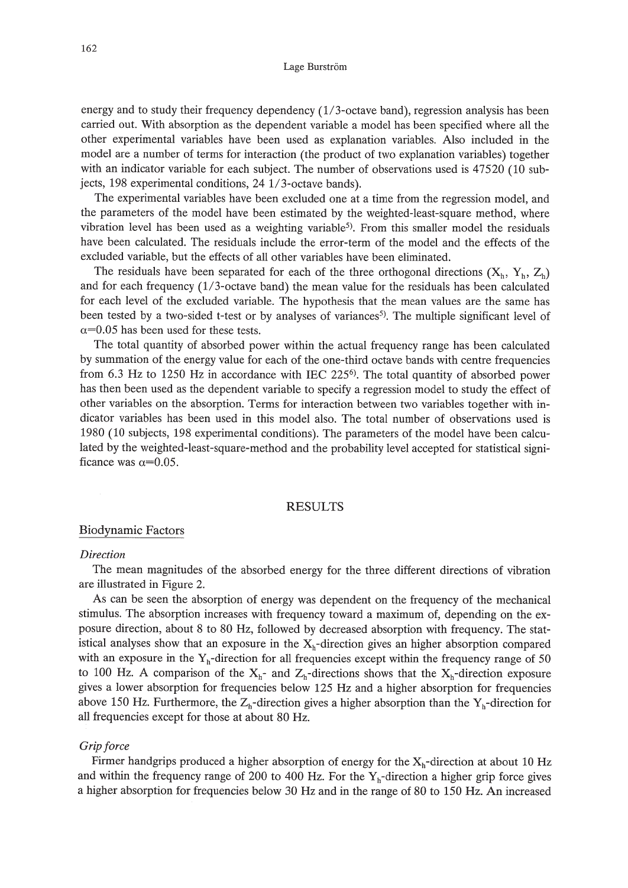#### Lage Burström

energy and to study their frequency dependency (I/3-octave band), regression analysis has been carried out. With absorption as the dependent variable a model has been specified where all the other experimental variables have been used as explanation variables. Also included in the model are a number of terms for interaction (the product of two explanation variables) together with an indicator variable for each subject. The number of observations used is 47520 (10 subjects, 198 experimental conditions, 24 1/3-octave bands).

The experimental variables have been excluded one at a time from the regression model, and the parameters of the model have been estimated by the weighted-least-square method, where vibration level has been used as a weighting variable<sup>5</sup>). From this smaller model the residuals have been calculated. The residuals include the error-term of the model and the effects of the excluded variable, but the effects of all other variables have been eliminated.

The residuals have been separated for each of the three orthogonal directions  $(X_h, Y_h, Z_h)$ and for each frequency (I/3-octave band) the mean value for the residuals has been calculated for each level of the excluded variable. The hypothesis that the mean values are the same has been tested by a two-sided t-test or by analyses of variances<sup>5</sup>). The multiple significant level of  $\alpha$ =0.05 has been used for these tests.

The total quantity of absorbed power within the actual frequency range has been calculated by summation of the energy value for each of the one-third octave bands with centre frequencies from 6.3 Hz to 1250 Hz in accordance with IEC  $225^{\circ}$ . The total quantity of absorbed power has then been used as the dependent variable to specify a regression model to study the effect of other variables on the absorption. Terms for interaction between two variables together with indicator variables has been used in this model also. The total number of observations used is 1980 (10 subjects, 198 experimental conditions). The parameters of the model have been calculated by the weighted-Ieast-square-method and the probability level accepted for statistical significance was  $\alpha$ =0.05.

# RESULTS

#### Biodynamic Factors

# *Direction*

The mean magnitudes of the absorbed energy for the three different directions of vibration are illustrated in Figure 2.

As can be seen the absorption of energy was dependent on the frequency of the mechanical stimulus. The absorption increases with frequency toward a maximum of, depending on the exposure direction, about 8 to 80 Hz, followed by decreased absorption with frequency. The statistical analyses show that an exposure in the  $X_h$ -direction gives an higher absorption compared with an exposure in the  $Y_h$ -direction for all frequencies except within the frequency range of 50 to 100 Hz. A comparison of the  $X_h$ - and  $Z_h$ -directions shows that the  $X_h$ -direction exposure gives a lower absorption for frequencies below 125 Hz and a higher absorption for frequencies above 150 Hz. Furthermore, the  $Z_h$ -direction gives a higher absorption than the  $Y_h$ -direction for all frequencies except for those at about 80 Hz.

#### *Grip force*

Firmer handgrips produced a higher absorption of energy for the  $X_h$ -direction at about 10 Hz and within the frequency range of 200 to 400 Hz. For the  $Y<sub>h</sub>$ -direction a higher grip force gives a higher absorption for frequencies below 30 Hz and in the range of 80 to 150 Hz. An increased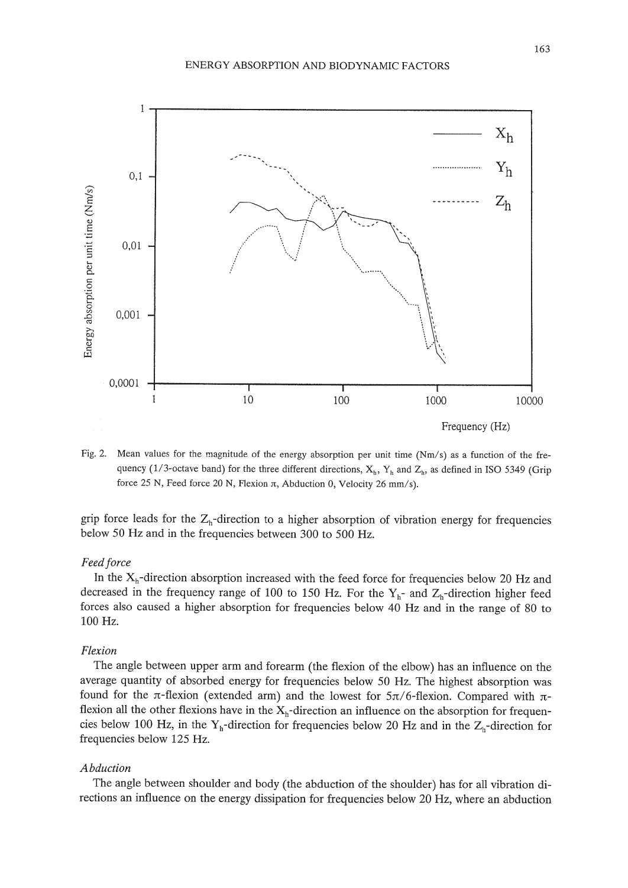

Fig. 2, Mean values for the magnitude of the energy absorption per unit time (Nm/s) as a function of the frequency (1/3-octave band) for the three different directions,  $X_h$ ,  $Y_h$  and  $Z_h$ , as defined in ISO 5349 (Grip force 25 N, Feed force 20 N, Flexion  $\pi$ , Abduction 0, Velocity 26 mm/s).

grip force leads for the  $Z_h$ -direction to a higher absorption of vibration energy for frequencies below 50 Hz and in the frequencies between 300 to 500 Hz.

# *Feedforce*

In the  $X_h$ -direction absorption increased with the feed force for frequencies below 20 Hz and decreased in the frequency range of 100 to 150 Hz. For the  $Y_h$ - and  $Z_h$ -direction higher feed forces also caused a higher absorption for frequencies below 40 Hz and in the range of 80 to 100 Hz.

# *Flexion*

The angle between upper arm and forearm (the flexion of the elbow) has an influence on the average quantity of absorbed energy for frequencies below 50 Hz. The highest absorption was found for the  $\pi$ -flexion (extended arm) and the lowest for  $5\pi/6$ -flexion. Compared with  $\pi$ flexion all the other flexions have in the  $X_h$ -direction an influence on the absorption for frequencies below 100 Hz, in the Y<sub>h</sub>-direction for frequencies below 20 Hz and in the  $Z_h$ -direction for frequencies below 125 Hz.

#### *Abduction*

The angle between shoulder and body (the abduction of the shoulder) has for all vibration directions an influence on the energy dissipation for frequencies below 20 Hz, where an abduction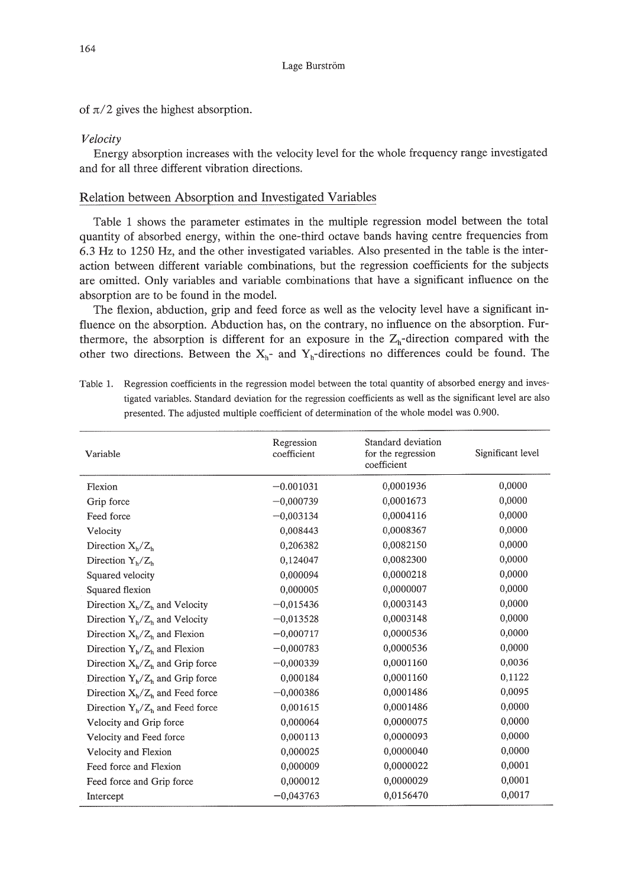of  $\pi/2$  gives the highest absorption.

# *Velocity*

Energy absorption increases with the velocity level for the whole frequency range investigated and for all three different vibration directions.

# Relation between Absorption and Investigated Variables

Table 1 shows the parameter estimates in the multiple regression model between the total quantity of absorbed energy, within the one-third octave bands having centre frequencies from 6.3 Hz to 1250 Hz, and the other investigated variables. Also presented in the table is the interaction between different variable combinations, but the regression coefficients for the subjects are omitted. Only variables and variable combinations that have a significant influence on the absorption are to be found in the model.

The flexion, abduction, grip and feed force as well as the velocity level have a significant influence on the absorption. Abduction has, on the contrary, no influence on the absorption. Furthermore, the absorption is different for an exposure in the  $Z_h$ -direction compared with the other two directions. Between the  $X_h$ - and  $Y_h$ -directions no differences could be found. The

| Variable                           | Regression<br>coefficient | Standard deviation<br>for the regression<br>coefficient | Significant level |
|------------------------------------|---------------------------|---------------------------------------------------------|-------------------|
| Flexion                            | $-0.001031$               | 0,0001936                                               | 0,0000            |
| Grip force                         | $-0,000739$               | 0,0001673                                               | 0,0000            |
| Feed force                         | $-0.003134$               | 0.0004116                                               | 0.0000            |
| Velocity                           | 0,008443                  | 0,0008367                                               | 0,0000            |
| Direction $X_h/Z_h$                | 0.206382                  | 0,0082150                                               | 0,0000            |
| Direction $Y_h/Z_h$                | 0,124047                  | 0,0082300                                               | 0,0000            |
| Squared velocity                   | 0.000094                  | 0,0000218                                               | 0,0000            |
| Squared flexion                    | 0.000005                  | 0,0000007                                               | 0,0000            |
| Direction $X_h/Z_h$ and Velocity   | $-0,015436$               | 0,0003143                                               | 0,0000            |
| Direction $Y_h/Z_h$ and Velocity   | $-0.013528$               | 0,0003148                                               | 0,0000            |
| Direction $X_h/Z_h$ and Flexion    | $-0,000717$               | 0,0000536                                               | 0,0000            |
| Direction $Y_h/Z_h$ and Flexion    | $-0,000783$               | 0,0000536                                               | 0,0000            |
| Direction $X_h/Z_h$ and Grip force | $-0,000339$               | 0,0001160                                               | 0,0036            |
| Direction $Y_h/Z_h$ and Grip force | 0,000184                  | 0,0001160                                               | 0,1122            |
| Direction $X_h/Z_h$ and Feed force | $-0,000386$               | 0.0001486                                               | 0,0095            |
| Direction $Y_b/Z_b$ and Feed force | 0,001615                  | 0.0001486                                               | 0,0000            |
| Velocity and Grip force            | 0,000064                  | 0,0000075                                               | 0,0000            |
| Velocity and Feed force            | 0,000113                  | 0,0000093                                               | 0,0000            |
| Velocity and Flexion               | 0.000025                  | 0,0000040                                               | 0,0000            |
| Feed force and Flexion             | 0.000009                  | 0.0000022                                               | 0.0001            |
| Feed force and Grip force          | 0,000012                  | 0,0000029                                               | 0,0001            |
| Intercept                          | $-0,043763$               | 0,0156470                                               | 0,0017            |

Table 1. Regression coefficients in the regression model between the total quantity of absorbed energy and investigated variables. Standard deviation for the regression coefficients as well as the significant level are also presented. The adjusted multiple coefficient of determination of the whole model was 0.900.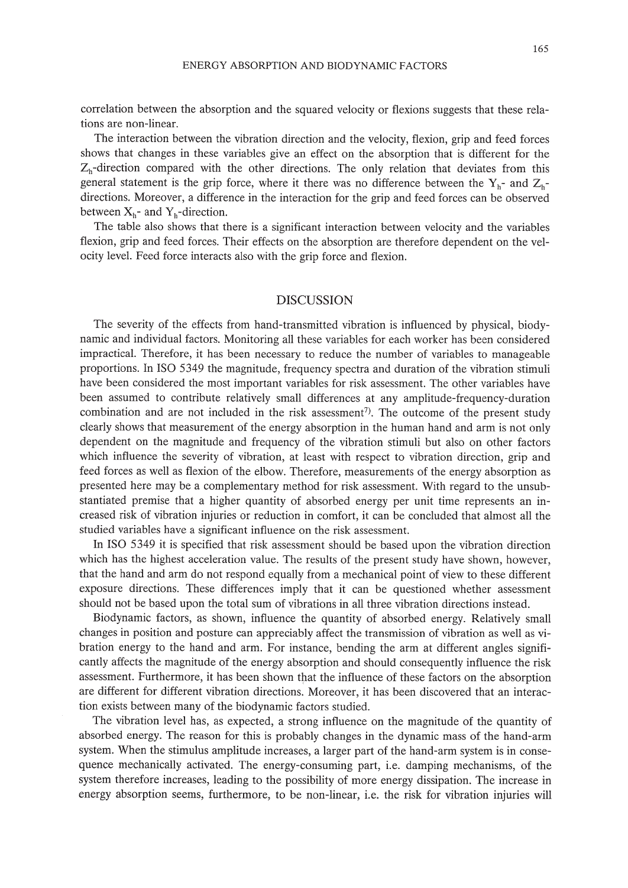correlation between the absorption and the squared velocity or flexions suggests that these relations are non-linear.

The interaction between the vibration direction and the velocity, flexion, grip and feed forces shows that changes in these variables give an effect on the absorption that is different for the  $Z_h$ -direction compared with the other directions. The only relation that deviates from this general statement is the grip force, where it there was no difference between the  $Y_{h}$ - and  $Z_{h}$ directions. Moreover, a difference in the interaction for the grip and feed forces can be observed between  $X_h$ - and  $Y_h$ -direction.

The table also shows that there is a significant interaction between velocity and the variables flexion, grip and feed forces. Their effects on the absorption are therefore dependent on the velocity level. Feed force interacts also with the grip force and flexion.

## DISCUSSION

The severity of the effects from hand-transmitted vibration is influenced by physical, biodynamic and individual factors. Monitoring all these variables for each worker has been considered impractical. Therefore, it has been necessary to reduce the number of variables to manageable proportions. In ISO 5349 the magnitude, frequency spectra and duration of the vibration stimuli have been considered the most important variables for risk assessment. The other variables have been assumed to contribute relatively small differences at any amplitude-frequency-duration combination and are not included in the risk assessment<sup>7</sup>). The outcome of the present study clearly shows that measurement of the energy absorption in the human hand and arm is not only dependent on the magnitude and frequency of the vibration stimuli but also on other factors which influence the severity of vibration, at least with respect to vibration direction, grip and feed forces as well as flexion of the elbow. Therefore, measurements of the energy absorption as presented here may be a complementary method for risk assessment. With regard to the unsubstantiated premise that a higher quantity of absorbed energy per unit time represents an increased risk of vibration injuries or reduction in comfort, it can be concluded that almost all the studied variables have a significant influence on the risk assessment.

In ISO 5349 it is specified that risk assessment should be based upon the vibration direction which has the highest acceleration value. The results of the present study have shown, however, that the hand and arm do not respond equally from a mechanical point of view to these different exposure directions. These differences imply that it can be questioned whether assessment should not be based upon the total sum of vibrations in all three vibration directions instead.

Biodynamic factors, as shown, influence the quantity of absorbed energy. Relatively small changes in position and posture can appreciably affect the transmission of vibration as well as vibration energy to the hand and arm. For instance, bending the arm at different angles significantly affects the magnitude of the energy absorption and should consequently influence the risk assessment. Furthermore, it has been shown that the influence of these factors on the absorption are different for different vibration directions. Moreover, it has been discovered that an interaction exists between many of the biodynamic factors studied.

The vibration level has, as expected, a strong influence on the magnitude of the quantity of absorbed energy. The reason for this is probably changes in the dynamic mass of the hand-arm system. When the stimulus amplitude increases, a larger part of the hand-arm system is in consequence mechanically activated. The energy-consuming part, i.e. damping mechanisms, of the system therefore increases, leading to the possibility of more energy dissipation. The increase in energy absorption seems, furthermore, to be non-linear, i.e. the risk for vibration injuries will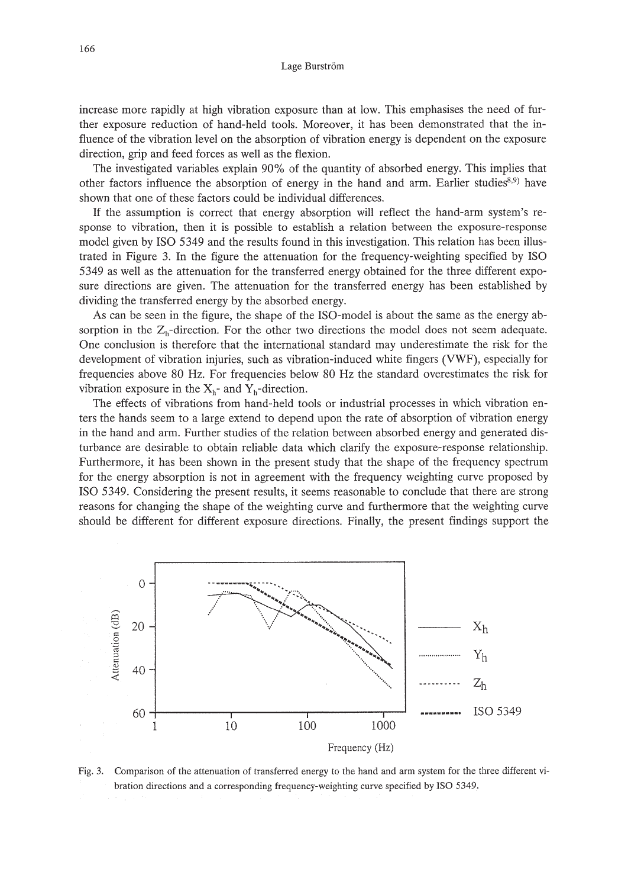#### Lage Burström

increase more rapidly at high vibration exposure than at low. This emphasises the need of further exposure reduction of hand-held tools. Moreover, it has been demonstrated that the influence of the vibration level on the absorption of vibration energy is dependent on the exposure direction, grip and feed forces as well as the flexion.

The investigated variables explain 90% of the quantity of absorbed energy. This implies that other factors influence the absorption of energy in the hand and arm. Earlier studies<sup>8,9)</sup> have shown that one of these factors could be individual differences.

If the assumption is correct that energy absorption will reflect the hand-arm system's response to vibration, then it is possible to establish a relation between the exposure-response model given by ISO 5349 and the results found in this investigation. This relation has been illustrated in Figure 3. In the figure the attenuation for the frequency-weighting specified by ISO 5349 as well as the attenuation for the transferred energy obtained for the three different exposure directions are given. The attenuation for the transferred energy has been established by dividing the transferred energy by the absorbed energy.

As can be seen in the figure, the shape of the ISO-model is about the same as the energy absorption in the  $Z<sub>h</sub>$ -direction. For the other two directions the model does not seem adequate. One conclusion is therefore that the international standard may underestimate the risk for the development of vibration injuries, such as vibration-induced white fingers (VWF), especially for frequencies above 80 Hz. For frequencies below 80 Hz the standard overestimates the risk for vibration exposure in the  $X_h$ - and  $Y_h$ -direction.

The effects of vibrations from hand-held tools or industrial processes in which vibration enters the hands seem to a large extend to depend upon the rate of absorption of vibration energy in the hand and arm. Further studies of the relation between absorbed energy and generated disturbance are desirable to obtain reliable data which clarify the exposure-response relationship. Furthermore, it has been shown in the present study that the shape of the frequency spectrum for the energy absorption is not in agreement with the frequency weighting curve proposed by ISO 5349. Considering the present results, it seems reasonable to conclude that there are strong reasons for changing the shape of the weighting curve and furthermore that the weighting curve should be different for different exposure directions. Finally, the present findings support the



Fig. 3. Comparison of the attenuation of transferred energy to the hand and arm system for the three different vibration directions and a corresponding frequency-weighting curve specified by ISO 5349.